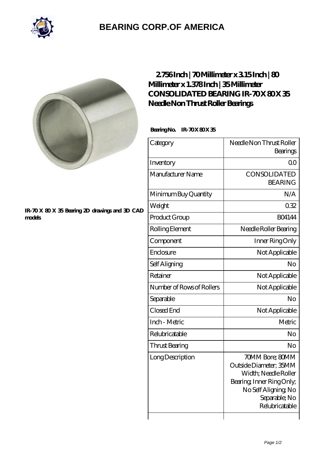

# **[BEARING CORP.OF AMERICA](https://m.bluemondayreview.com)**



### **[IR-70 X 80 X 35 Bearing 2D drawings and 3D CAD](https://m.bluemondayreview.com/pic-176331.html) [models](https://m.bluemondayreview.com/pic-176331.html)**

### **[2.756 Inch | 70 Millimeter x 3.15 Inch | 80](https://m.bluemondayreview.com/ar-176331-consolidated-bearing-ir-70-x-80-x-35-needle-non-thrust-roller-bearings.html) [Millimeter x 1.378 Inch | 35 Millimeter](https://m.bluemondayreview.com/ar-176331-consolidated-bearing-ir-70-x-80-x-35-needle-non-thrust-roller-bearings.html) CONSOLIDATED BEARING IR-70X80X35 [Needle Non Thrust Roller Bearings](https://m.bluemondayreview.com/ar-176331-consolidated-bearing-ir-70-x-80-x-35-needle-non-thrust-roller-bearings.html)**

### Bearing No. IR-70 X 80 X 35

| Category                  | Needle Non Thrust Roller<br>Bearings                                                                                                                      |
|---------------------------|-----------------------------------------------------------------------------------------------------------------------------------------------------------|
| Inventory                 | 00                                                                                                                                                        |
| Manufacturer Name         | CONSOLIDATED<br><b>BEARING</b>                                                                                                                            |
| Minimum Buy Quantity      | N/A                                                                                                                                                       |
| Weight                    | 032                                                                                                                                                       |
| Product Group             | <b>BO4144</b>                                                                                                                                             |
| Rolling Element           | Needle Roller Bearing                                                                                                                                     |
| Component                 | Inner Ring Only                                                                                                                                           |
| Enclosure                 | Not Applicable                                                                                                                                            |
| Self Aligning             | No                                                                                                                                                        |
| Retainer                  | Not Applicable                                                                                                                                            |
| Number of Rows of Rollers | Not Applicable                                                                                                                                            |
| Separable                 | No                                                                                                                                                        |
| Closed End                | Not Applicable                                                                                                                                            |
| Inch - Metric             | Metric                                                                                                                                                    |
| Relubricatable            | No                                                                                                                                                        |
| Thrust Bearing            | No                                                                                                                                                        |
| Long Description          | 70MM Bore; 80MM<br>Outside Diameter; 35MM<br>Width; Needle Roller<br>Bearing, Inner Ring Only,<br>No Self Aligning, No<br>Separable; No<br>Relubricatable |